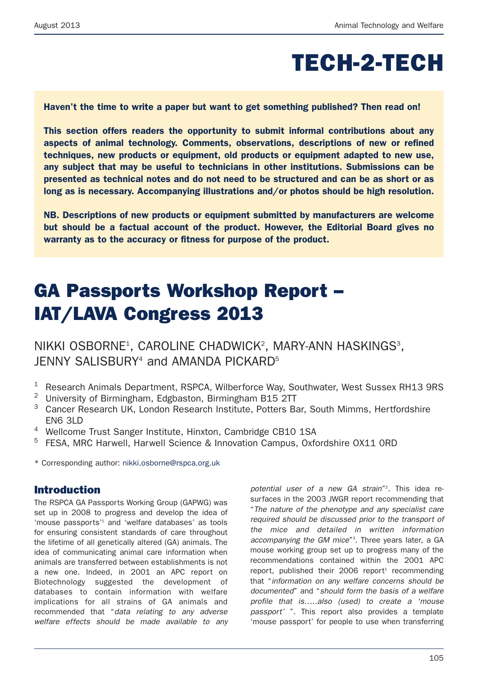# **TECH-2-TECH**

**Haven't the time to write a paper but want to get something published? Then read on!**

**This section offers readers the opportunity to submit informal contributions about any aspects of animal technology. Comments, observations, descriptions of new or refined techniques, new products or equipment, old products or equipment adapted to new use, any subject that may be useful to technicians in other institutions. Submissions can be presented as technical notes and do not need to be structured and can be as short or as long as is necessary. Accompanying illustrations and/or photos should be high resolution.**

**NB. Descriptions of new products or equipment submitted by manufacturers are welcome but should be a factual account of the product. However, the Editorial Board gives no warranty as to the accuracy or fitness for purpose of the product.**

# **GA Passports Workshop Report – IAT/LAVA Congress 2013**

NIKKI OSBORNE<sup>1</sup>, CAROLINE CHADWICK<sup>2</sup>, MARY-ANN HASKINGS<sup>3</sup>, JENNY SALISBURY<sup>4</sup> and AMANDA PICKARD<sup>5</sup>

- <sup>1</sup> Research Animals Department, RSPCA, Wilberforce Way, Southwater, West Sussex RH13 9RS
- <sup>2</sup> University of Birmingham, Edgbaston, Birmingham B15 2TT
- <sup>3</sup> Cancer Research UK, London Research Institute, Potters Bar, South Mimms, Hertfordshire EN6 3LD
- <sup>4</sup> Wellcome Trust Sanger Institute, Hinxton, Cambridge CB10 1SA
- <sup>5</sup> FESA, MRC Harwell, Harwell Science & Innovation Campus, Oxfordshire OX11 0RD

\* Corresponding author: nikki.osborne@rspca.org.uk

# **Introduction**

The RSPCA GA Passports Working Group (GAPWG) was set up in 2008 to progress and develop the idea of 'mouse passports' <sup>1</sup> and 'welfare databases' as tools for ensuring consistent standards of care throughout the lifetime of all genetically altered (GA) animals. The idea of communicating animal care information when animals are transferred between establishments is not a new one. Indeed, in 2001 an APC report on Biotechnology suggested the development of databases to contain information with welfare implications for all strains of GA animals and recommended that "*data relating to any adverse welfare effects should be made available to any*

*potential user of a new GA strain*"2 . This idea resurfaces in the 2003 JWGR report recommending that "*The nature of the phenotype and any specialist care required should be discussed prior to the transport of the mice and detailed in written information accompanying the GM mice*"3 . Three years later, a GA mouse working group set up to progress many of the recommendations contained within the 2001 APC report, published their 2006 report <sup>1</sup> recommending that "*information on any welfare concerns should be documented*" and "*should form the basis of a welfare profile that is…..also (used) to create a 'mouse passport'* ". This report also provides a template 'mouse passport' for people to use when transferring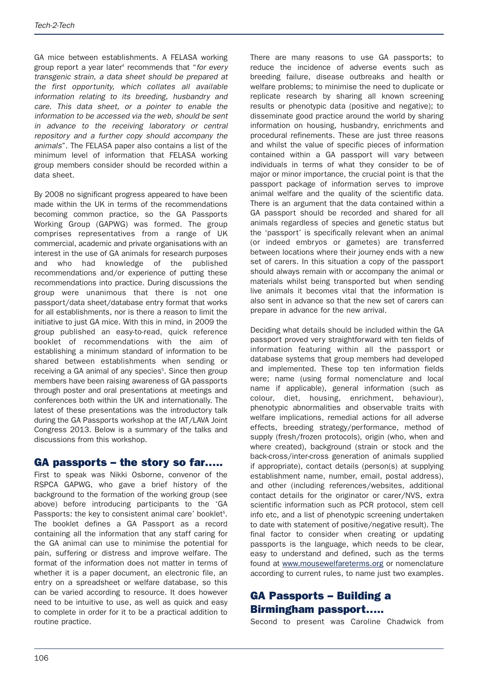GA mice between establishments. A FELASA working group report a year later <sup>4</sup> recommends that "*for every transgenic strain, a data sheet should be prepared at the first opportunity, which collates all available information relating to its breeding, husbandry and care. This data sheet, or a pointer to enable the information to be accessed via the web, should be sent in advance to the receiving laboratory or central repository and a further copy should accompany the animals*". The FELASA paper also contains a list of the minimum level of information that FELASA working group members consider should be recorded within a data sheet.

By 2008 no significant progress appeared to have been made within the UK in terms of the recommendations becoming common practice, so the GA Passports Working Group (GAPWG) was formed. The group comprises representatives from a range of UK commercial, academic and private organisations with an interest in the use of GA animals for research purposes and who had knowledge of the published recommendations and/or experience of putting these recommendations into practice. During discussions the group were unanimous that there is not one passport/data sheet/database entry format that works for all establishments, nor is there a reason to limit the initiative to just GA mice. With this in mind, in 2009 the group published an easy-to-read, quick reference booklet of recommendations with the aim of establishing a minimum standard of information to be shared between establishments when sending or receiving a GA animal of any species<sup>5</sup>. Since then group members have been raising awareness of GA passports through poster and oral presentations at meetings and conferences both within the UK and internationally. The latest of these presentations was the introductory talk during the GA Passports workshop at the IAT/LAVA Joint Congress 2013. Below is a summary of the talks and discussions from this workshop.

## **GA passports – the story so far…..**

First to speak was Nikki Osborne, convenor of the RSPCA GAPWG, who gave a brief history of the background to the formation of the working group (see above) before introducing participants to the 'GA Passports: the key to consistent animal care' booklet<sup>5</sup>. The booklet defines a GA Passport as a record containing all the information that any staff caring for the GA animal can use to minimise the potential for pain, suffering or distress and improve welfare. The format of the information does not matter in terms of whether it is a paper document, an electronic file, an entry on a spreadsheet or welfare database, so this can be varied according to resource. It does however need to be intuitive to use, as well as quick and easy to complete in order for it to be a practical addition to routine practice.

There are many reasons to use GA passports; to reduce the incidence of adverse events such as breeding failure, disease outbreaks and health or welfare problems; to minimise the need to duplicate or replicate research by sharing all known screening results or phenotypic data (positive and negative); to disseminate good practice around the world by sharing information on housing, husbandry, enrichments and procedural refinements. These are just three reasons and whilst the value of specific pieces of information contained within a GA passport will vary between individuals in terms of what they consider to be of major or minor importance, the crucial point is that the passport package of information serves to improve animal welfare and the quality of the scientific data. There is an argument that the data contained within a GA passport should be recorded and shared for all animals regardless of species and genetic status but the 'passport' is specifically relevant when an animal (or indeed embryos or gametes) are transferred between locations where their journey ends with a new set of carers. In this situation a copy of the passport should always remain with or accompany the animal or materials whilst being transported but when sending live animals it becomes vital that the information is also sent in advance so that the new set of carers can prepare in advance for the new arrival.

Deciding what details should be included within the GA passport proved very straightforward with ten fields of information featuring within all the passport or database systems that group members had developed and implemented. These top ten information fields were; name (using formal nomenclature and local name if applicable), general information (such as colour, diet, housing, enrichment, behaviour), phenotypic abnormalities and observable traits with welfare implications, remedial actions for all adverse effects, breeding strategy/performance, method of supply (fresh/frozen protocols), origin (who, when and where created), background (strain or stock and the back-cross/inter-cross generation of animals supplied if appropriate), contact details (person(s) at supplying establishment name, number, email, postal address), and other (including references/websites, additional contact details for the originator or carer/NVS, extra scientific information such as PCR protocol, stem cell info etc, and a list of phenotypic screening undertaken to date with statement of positive/negative result). The final factor to consider when creating or updating passports is the language, which needs to be clear, easy to understand and defined, such as the terms found at www.mousewelfareterms.org or nomenclature according to current rules, to name just two examples.

# **GA Passports – Building a Birmingham passport…..**

Second to present was Caroline Chadwick from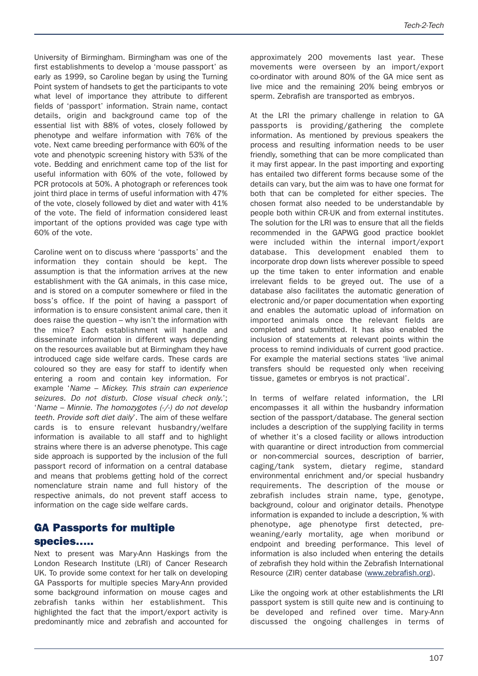University of Birmingham. Birmingham was one of the first establishments to develop a 'mouse passport' as early as 1999, so Caroline began by using the Turning Point system of handsets to get the participants to vote what level of importance they attribute to different fields of 'passport' information. Strain name, contact details, origin and background came top of the essential list with 88% of votes, closely followed by phenotype and welfare information with 76% of the vote. Next came breeding performance with 60% of the vote and phenotypic screening history with 53% of the vote. Bedding and enrichment came top of the list for useful information with 60% of the vote, followed by PCR protocols at 50%. A photograph or references took joint third place in terms of useful information with 47% of the vote, closely followed by diet and water with 41% of the vote. The field of information considered least important of the options provided was cage type with 60% of the vote.

Caroline went on to discuss where 'passports' and the information they contain should be kept. The assumption is that the information arrives at the new establishment with the GA animals, in this case mice, and is stored on a computer somewhere or filed in the boss's office. If the point of having a passport of information is to ensure consistent animal care, then it does raise the question – why isn't the information with the mice? Each establishment will handle and disseminate information in different ways depending on the resources available but at Birmingham they have introduced cage side welfare cards. These cards are coloured so they are easy for staff to identify when entering a room and contain key information. For example '*Name – Mickey. This strain can experience seizures. Do not disturb. Close visual check only.*'; '*Name – Minnie. The homozygotes (-/-) do not develop teeth. Provide soft diet daily*'. The aim of these welfare cards is to ensure relevant husbandry/welfare information is available to all staff and to highlight strains where there is an adverse phenotype. This cage side approach is supported by the inclusion of the full passport record of information on a central database and means that problems getting hold of the correct nomenclature strain name and full history of the respective animals, do not prevent staff access to information on the cage side welfare cards.

# **GA Passports for multiple species…..**

Next to present was Mary-Ann Haskings from the London Research Institute (LRI) of Cancer Research UK. To provide some context for her talk on developing GA Passports for multiple species Mary-Ann provided some background information on mouse cages and zebrafish tanks within her establishment. This highlighted the fact that the import/export activity is predominantly mice and zebrafish and accounted for approximately 200 movements last year. These movements were overseen by an import/export co-ordinator with around 80% of the GA mice sent as live mice and the remaining 20% being embryos or sperm. Zebrafish are transported as embryos.

At the LRI the primary challenge in relation to GA passports is providing/gathering the complete information. As mentioned by previous speakers the process and resulting information needs to be user friendly, something that can be more complicated than it may first appear. In the past importing and exporting has entailed two different forms because some of the details can vary, but the aim was to have one format for both that can be completed for either species. The chosen format also needed to be understandable by people both within CR-UK and from external institutes. The solution for the LRI was to ensure that all the fields recommended in the GAPWG good practice booklet were included within the internal import/export database. This development enabled them to incorporate drop down lists wherever possible to speed up the time taken to enter information and enable irrelevant fields to be greyed out. The use of a database also facilitates the automatic generation of electronic and/or paper documentation when exporting and enables the automatic upload of information on imported animals once the relevant fields are completed and submitted. It has also enabled the inclusion of statements at relevant points within the process to remind individuals of current good practice. For example the material sections states 'live animal transfers should be requested only when receiving tissue, gametes or embryos is not practical'.

In terms of welfare related information, the LRI encompasses it all within the husbandry information section of the passport/database. The general section includes a description of the supplying facility in terms of whether it's a closed facility or allows introduction with quarantine or direct introduction from commercial or non-commercial sources, description of barrier, caging/tank system, dietary regime, standard environmental enrichment and/or special husbandry requirements. The description of the mouse or zebrafish includes strain name, type, genotype, background, colour and originator details. Phenotype information is expanded to include a description, % with phenotype, age phenotype first detected, preweaning/early mortality, age when moribund or endpoint and breeding performance. This level of information is also included when entering the details of zebrafish they hold within the Zebrafish International Resource (ZIR) center database (www.zebrafish.org).

Like the ongoing work at other establishments the LRI passport system is still quite new and is continuing to be developed and refined over time. Mary-Ann discussed the ongoing challenges in terms of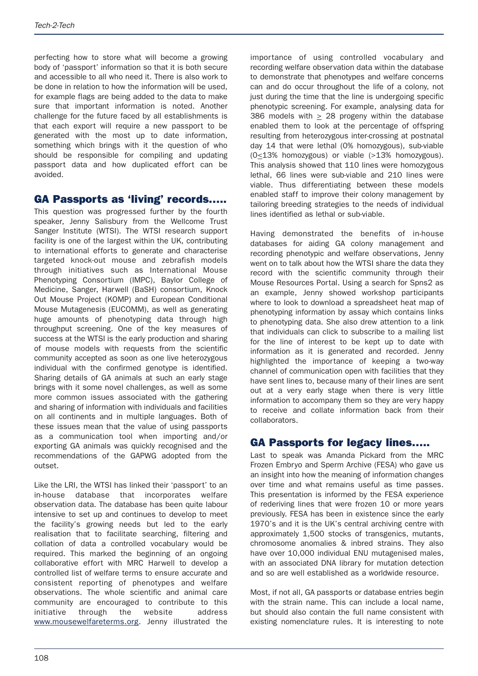perfecting how to store what will become a growing body of 'passport' information so that it is both secure and accessible to all who need it. There is also work to be done in relation to how the information will be used, for example flags are being added to the data to make sure that important information is noted. Another challenge for the future faced by all establishments is that each export will require a new passport to be generated with the most up to date information, something which brings with it the question of who should be responsible for compiling and updating passport data and how duplicated effort can be avoided.

## **GA Passports as 'living' records…..**

This question was progressed further by the fourth speaker, Jenny Salisbury from the Wellcome Trust Sanger Institute (WTSI). The WTSI research support facility is one of the largest within the UK, contributing to international efforts to generate and characterise targeted knock-out mouse and zebrafish models through initiatives such as International Mouse Phenotyping Consortium (IMPC), Baylor College of Medicine, Sanger, Harwell (BaSH) consortium, Knock Out Mouse Project (KOMP) and European Conditional Mouse Mutagenesis (EUCOMM), as well as generating huge amounts of phenotyping data through high throughput screening. One of the key measures of success at the WTSI is the early production and sharing of mouse models with requests from the scientific community accepted as soon as one live heterozygous individual with the confirmed genotype is identified. Sharing details of GA animals at such an early stage brings with it some novel challenges, as well as some more common issues associated with the gathering and sharing of information with individuals and facilities on all continents and in multiple languages. Both of these issues mean that the value of using passports as a communication tool when importing and/or exporting GA animals was quickly recognised and the recommendations of the GAPWG adopted from the outset.

Like the LRI, the WTSI has linked their 'passport' to an in-house database that incorporates welfare observation data. The database has been quite labour intensive to set up and continues to develop to meet the facility's growing needs but led to the early realisation that to facilitate searching, filtering and collation of data a controlled vocabulary would be required. This marked the beginning of an ongoing collaborative effort with MRC Harwell to develop a controlled list of welfare terms to ensure accurate and consistent reporting of phenotypes and welfare observations. The whole scientific and animal care community are encouraged to contribute to this initiative through the website address www.mousewelfareterms.org. Jenny illustrated the

importance of using controlled vocabulary and recording welfare observation data within the database to demonstrate that phenotypes and welfare concerns can and do occur throughout the life of a colony, not just during the time that the line is undergoing specific phenotypic screening. For example, analysing data for 386 models with  $\geq$  28 progeny within the database enabled them to look at the percentage of offspring resulting from heterozygous inter-crossing at postnatal day 14 that were lethal (0% homozygous), sub-viable (0<13% homozygous) or viable (>13% homozygous). This analysis showed that 110 lines were homozygous lethal, 66 lines were sub-viable and 210 lines were viable. Thus differentiating between these models enabled staff to improve their colony management by tailoring breeding strategies to the needs of individual lines identified as lethal or sub-viable.

Having demonstrated the benefits of in-house databases for aiding GA colony management and recording phenotypic and welfare observations, Jenny went on to talk about how the WTSI share the data they record with the scientific community through their Mouse Resources Portal. Using a search for Spns2 as an example, Jenny showed workshop participants where to look to download a spreadsheet heat map of phenotyping information by assay which contains links to phenotyping data. She also drew attention to a link that individuals can click to subscribe to a mailing list for the line of interest to be kept up to date with information as it is generated and recorded. Jenny highlighted the importance of keeping a two-way channel of communication open with facilities that they have sent lines to, because many of their lines are sent out at a very early stage when there is very little information to accompany them so they are very happy to receive and collate information back from their collaborators.

## **GA Passports for legacy lines…..**

Last to speak was Amanda Pickard from the MRC Frozen Embryo and Sperm Archive (FESA) who gave us an insight into how the meaning of information changes over time and what remains useful as time passes. This presentation is informed by the FESA experience of rederiving lines that were frozen 10 or more years previously. FESA has been in existence since the early 1970's and it is the UK's central archiving centre with approximately 1,500 stocks of transgenics, mutants, chromosome anomalies & inbred strains. They also have over 10,000 individual ENU mutagenised males, with an associated DNA library for mutation detection and so are well established as a worldwide resource.

Most, if not all, GA passports or database entries begin with the strain name. This can include a local name, but should also contain the full name consistent with existing nomenclature rules. It is interesting to note